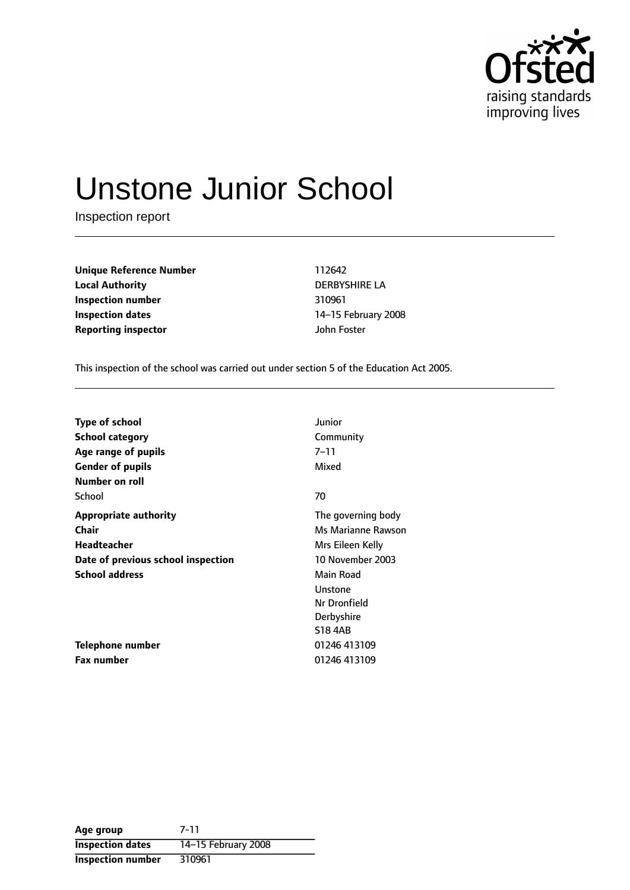

# Unstone Junior School

Inspection report

**Unique Reference Number** 112642 **Local Authority** DERBYSHIRE LA **Inspection number** 310961 **Inspection dates** 14-15 February 2008 **Reporting inspector** John Foster

This inspection of the school was carried out under section 5 of the Education Act 2005.

| <b>Type of school</b>              | Junior             |
|------------------------------------|--------------------|
| <b>School category</b>             | Community          |
| Age range of pupils                | $7 - 11$           |
| <b>Gender of pupils</b>            | Mixed              |
| Number on roll                     |                    |
| School                             | 70                 |
| <b>Appropriate authority</b>       | The governing body |
| Chair                              | Ms Marianne Rawson |
| <b>Headteacher</b>                 | Mrs Eileen Kelly   |
| Date of previous school inspection | 10 November 2003   |
| <b>School address</b>              | Main Road          |
|                                    | Unstone            |
|                                    | Nr Dronfield       |
|                                    | Derbyshire         |
|                                    | <b>S18 4AB</b>     |
| Telephone number                   | 01246 413109       |
| <b>Fax number</b>                  | 01246 413109       |

**Age group** 7-11 **Inspection dates** 14-15 February 2008 **Inspection number** 310961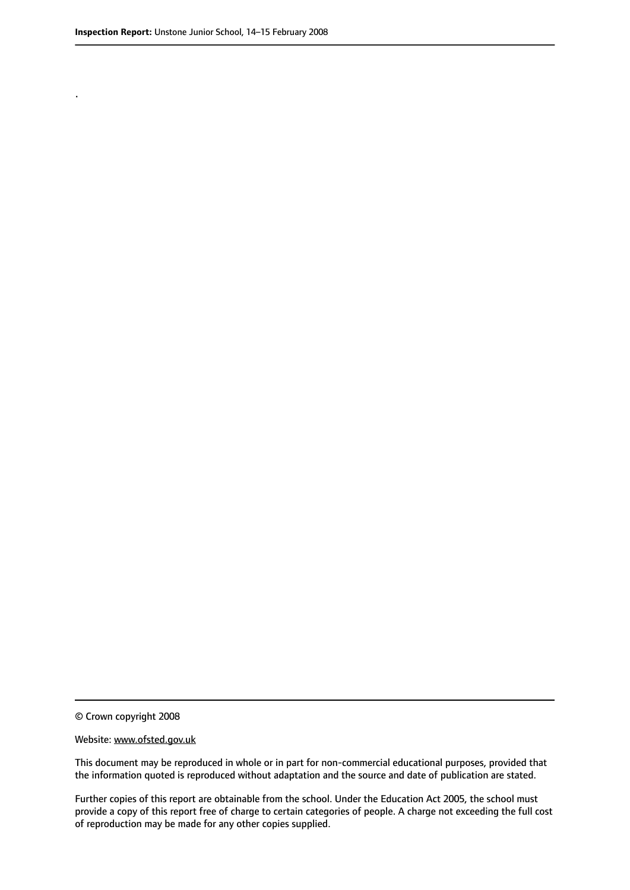.

© Crown copyright 2008

#### Website: www.ofsted.gov.uk

This document may be reproduced in whole or in part for non-commercial educational purposes, provided that the information quoted is reproduced without adaptation and the source and date of publication are stated.

Further copies of this report are obtainable from the school. Under the Education Act 2005, the school must provide a copy of this report free of charge to certain categories of people. A charge not exceeding the full cost of reproduction may be made for any other copies supplied.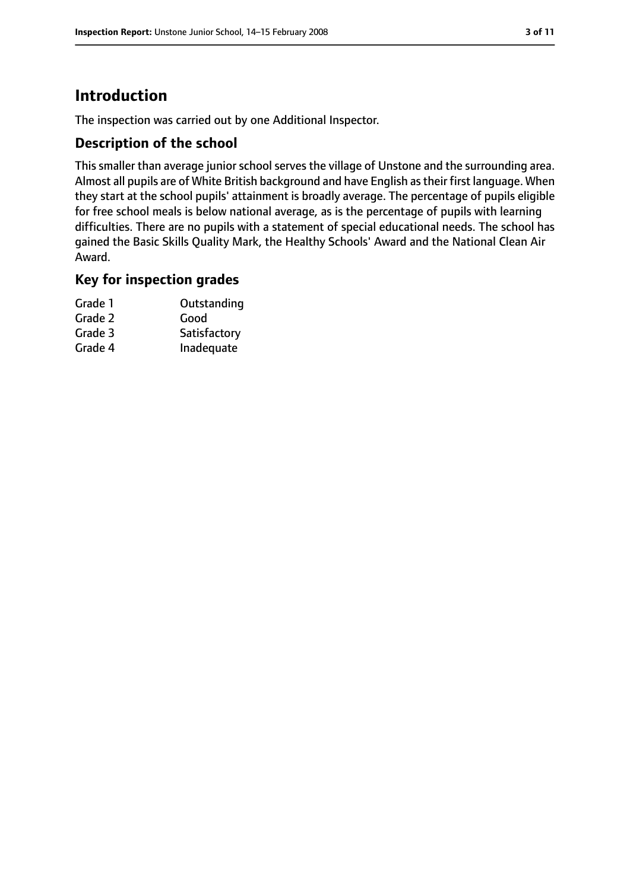# **Introduction**

The inspection was carried out by one Additional Inspector.

### **Description of the school**

This smaller than average junior school serves the village of Unstone and the surrounding area. Almost all pupils are of White British background and have English astheir first language. When they start at the school pupils' attainment is broadly average. The percentage of pupils eligible for free school meals is below national average, as is the percentage of pupils with learning difficulties. There are no pupils with a statement of special educational needs. The school has gained the Basic Skills Quality Mark, the Healthy Schools' Award and the National Clean Air Award.

### **Key for inspection grades**

| Grade 1 | Outstanding  |
|---------|--------------|
| Grade 2 | Good         |
| Grade 3 | Satisfactory |
| Grade 4 | Inadequate   |
|         |              |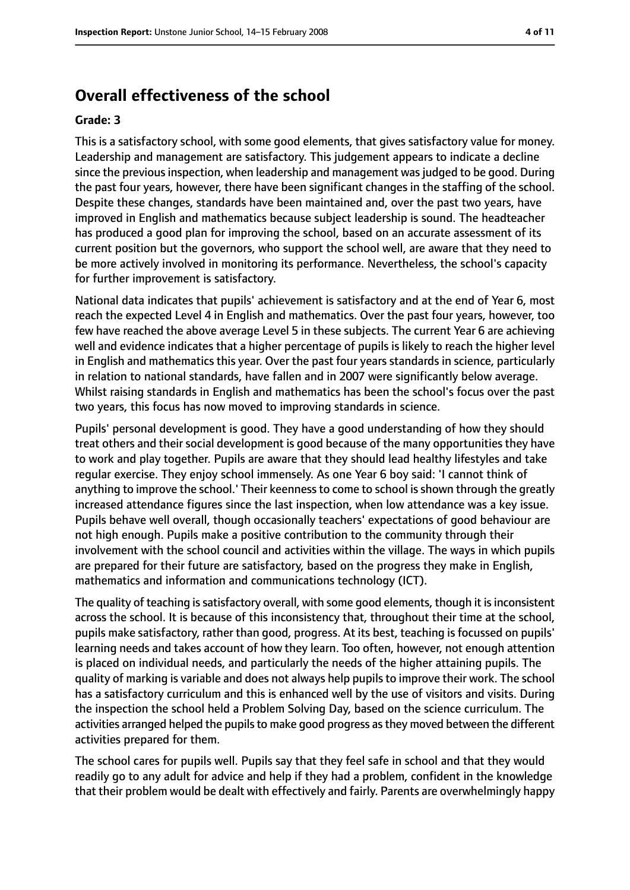## **Overall effectiveness of the school**

#### **Grade: 3**

This is a satisfactory school, with some good elements, that gives satisfactory value for money. Leadership and management are satisfactory. This judgement appears to indicate a decline since the previous inspection, when leadership and management was judged to be good. During the past four years, however, there have been significant changes in the staffing of the school. Despite these changes, standards have been maintained and, over the past two years, have improved in English and mathematics because subject leadership is sound. The headteacher has produced a good plan for improving the school, based on an accurate assessment of its current position but the governors, who support the school well, are aware that they need to be more actively involved in monitoring its performance. Nevertheless, the school's capacity for further improvement is satisfactory.

National data indicates that pupils' achievement is satisfactory and at the end of Year 6, most reach the expected Level 4 in English and mathematics. Over the past four years, however, too few have reached the above average Level 5 in these subjects. The current Year 6 are achieving well and evidence indicates that a higher percentage of pupils is likely to reach the higher level in English and mathematics this year. Over the past four years standards in science, particularly in relation to national standards, have fallen and in 2007 were significantly below average. Whilst raising standards in English and mathematics has been the school's focus over the past two years, this focus has now moved to improving standards in science.

Pupils' personal development is good. They have a good understanding of how they should treat others and their social development is good because of the many opportunities they have to work and play together. Pupils are aware that they should lead healthy lifestyles and take regular exercise. They enjoy school immensely. As one Year 6 boy said: 'I cannot think of anything to improve the school.' Their keenness to come to school is shown through the greatly increased attendance figures since the last inspection, when low attendance was a key issue. Pupils behave well overall, though occasionally teachers' expectations of good behaviour are not high enough. Pupils make a positive contribution to the community through their involvement with the school council and activities within the village. The ways in which pupils are prepared for their future are satisfactory, based on the progress they make in English, mathematics and information and communications technology (ICT).

The quality of teaching is satisfactory overall, with some good elements, though it is inconsistent across the school. It is because of this inconsistency that, throughout their time at the school, pupils make satisfactory, rather than good, progress. At its best, teaching is focussed on pupils' learning needs and takes account of how they learn. Too often, however, not enough attention is placed on individual needs, and particularly the needs of the higher attaining pupils. The quality of marking is variable and does not always help pupils to improve their work. The school has a satisfactory curriculum and this is enhanced well by the use of visitors and visits. During the inspection the school held a Problem Solving Day, based on the science curriculum. The activities arranged helped the pupils to make good progress as they moved between the different activities prepared for them.

The school cares for pupils well. Pupils say that they feel safe in school and that they would readily go to any adult for advice and help if they had a problem, confident in the knowledge that their problem would be dealt with effectively and fairly. Parents are overwhelmingly happy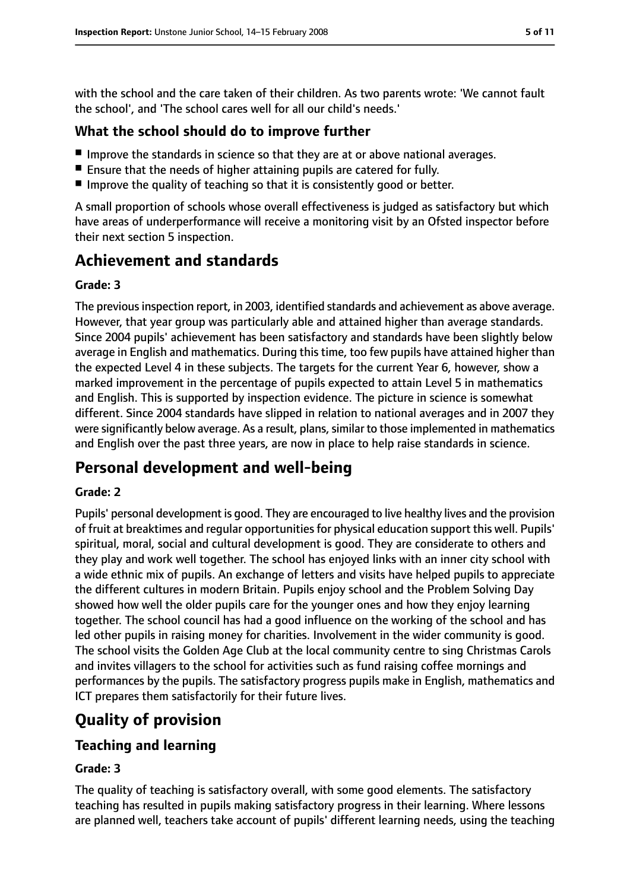with the school and the care taken of their children. As two parents wrote: 'We cannot fault the school', and 'The school cares well for all our child's needs.'

### **What the school should do to improve further**

- Improve the standards in science so that they are at or above national averages.
- Ensure that the needs of higher attaining pupils are catered for fully.
- Improve the quality of teaching so that it is consistently good or better.

A small proportion of schools whose overall effectiveness is judged as satisfactory but which have areas of underperformance will receive a monitoring visit by an Ofsted inspector before their next section 5 inspection.

# **Achievement and standards**

#### **Grade: 3**

The previous inspection report, in 2003, identified standards and achievement as above average. However, that year group was particularly able and attained higher than average standards. Since 2004 pupils' achievement has been satisfactory and standards have been slightly below average in English and mathematics. During this time, too few pupils have attained higher than the expected Level 4 in these subjects. The targets for the current Year 6, however, show a marked improvement in the percentage of pupils expected to attain Level 5 in mathematics and English. This is supported by inspection evidence. The picture in science is somewhat different. Since 2004 standards have slipped in relation to national averages and in 2007 they were significantly below average. As a result, plans, similar to those implemented in mathematics and English over the past three years, are now in place to help raise standards in science.

# **Personal development and well-being**

#### **Grade: 2**

Pupils' personal development is good. They are encouraged to live healthy lives and the provision of fruit at breaktimes and regular opportunities for physical education support this well. Pupils' spiritual, moral, social and cultural development is good. They are considerate to others and they play and work well together. The school has enjoyed links with an inner city school with a wide ethnic mix of pupils. An exchange of letters and visits have helped pupils to appreciate the different cultures in modern Britain. Pupils enjoy school and the Problem Solving Day showed how well the older pupils care for the younger ones and how they enjoy learning together. The school council has had a good influence on the working of the school and has led other pupils in raising money for charities. Involvement in the wider community is good. The school visits the Golden Age Club at the local community centre to sing Christmas Carols and invites villagers to the school for activities such as fund raising coffee mornings and performances by the pupils. The satisfactory progress pupils make in English, mathematics and ICT prepares them satisfactorily for their future lives.

# **Quality of provision**

## **Teaching and learning**

#### **Grade: 3**

The quality of teaching is satisfactory overall, with some good elements. The satisfactory teaching has resulted in pupils making satisfactory progress in their learning. Where lessons are planned well, teachers take account of pupils' different learning needs, using the teaching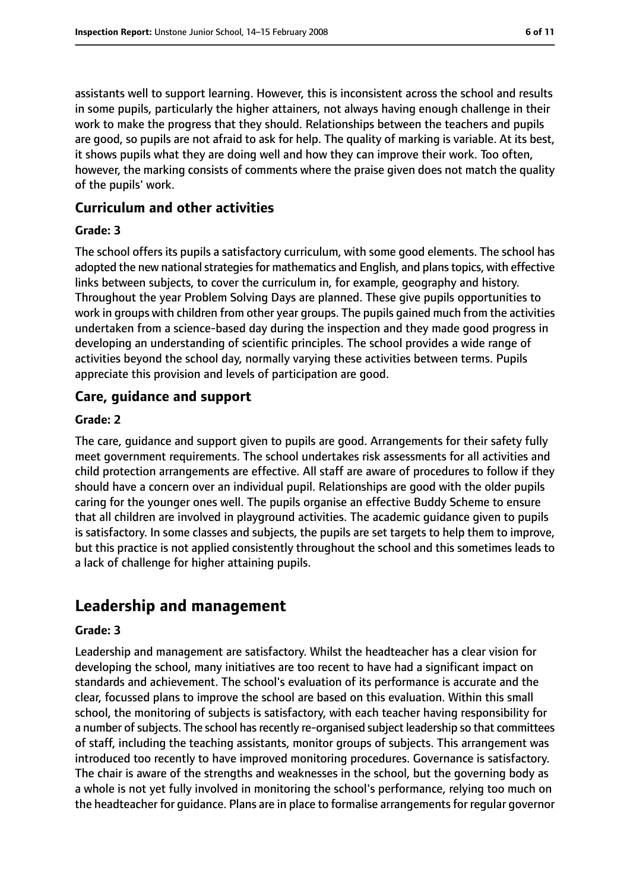assistants well to support learning. However, this is inconsistent across the school and results in some pupils, particularly the higher attainers, not always having enough challenge in their work to make the progress that they should. Relationships between the teachers and pupils are good, so pupils are not afraid to ask for help. The quality of marking is variable. At its best, it shows pupils what they are doing well and how they can improve their work. Too often, however, the marking consists of comments where the praise given does not match the quality of the pupils' work.

#### **Curriculum and other activities**

#### **Grade: 3**

The school offers its pupils a satisfactory curriculum, with some good elements. The school has adopted the new national strategies for mathematics and English, and plans topics, with effective links between subjects, to cover the curriculum in, for example, geography and history. Throughout the year Problem Solving Days are planned. These give pupils opportunities to work in groups with children from other year groups. The pupils gained much from the activities undertaken from a science-based day during the inspection and they made good progress in developing an understanding of scientific principles. The school provides a wide range of activities beyond the school day, normally varying these activities between terms. Pupils appreciate this provision and levels of participation are good.

#### **Care, guidance and support**

#### **Grade: 2**

The care, guidance and support given to pupils are good. Arrangements for their safety fully meet government requirements. The school undertakes risk assessments for all activities and child protection arrangements are effective. All staff are aware of procedures to follow if they should have a concern over an individual pupil. Relationships are good with the older pupils caring for the younger ones well. The pupils organise an effective Buddy Scheme to ensure that all children are involved in playground activities. The academic guidance given to pupils is satisfactory. In some classes and subjects, the pupils are set targets to help them to improve, but this practice is not applied consistently throughout the school and this sometimes leads to a lack of challenge for higher attaining pupils.

## **Leadership and management**

#### **Grade: 3**

Leadership and management are satisfactory. Whilst the headteacher has a clear vision for developing the school, many initiatives are too recent to have had a significant impact on standards and achievement. The school's evaluation of its performance is accurate and the clear, focussed plans to improve the school are based on this evaluation. Within this small school, the monitoring of subjects is satisfactory, with each teacher having responsibility for a number of subjects. The school has recently re-organised subject leadership so that committees of staff, including the teaching assistants, monitor groups of subjects. This arrangement was introduced too recently to have improved monitoring procedures. Governance is satisfactory. The chair is aware of the strengths and weaknesses in the school, but the governing body as a whole is not yet fully involved in monitoring the school's performance, relying too much on the headteacher for guidance. Plans are in place to formalise arrangements for regular governor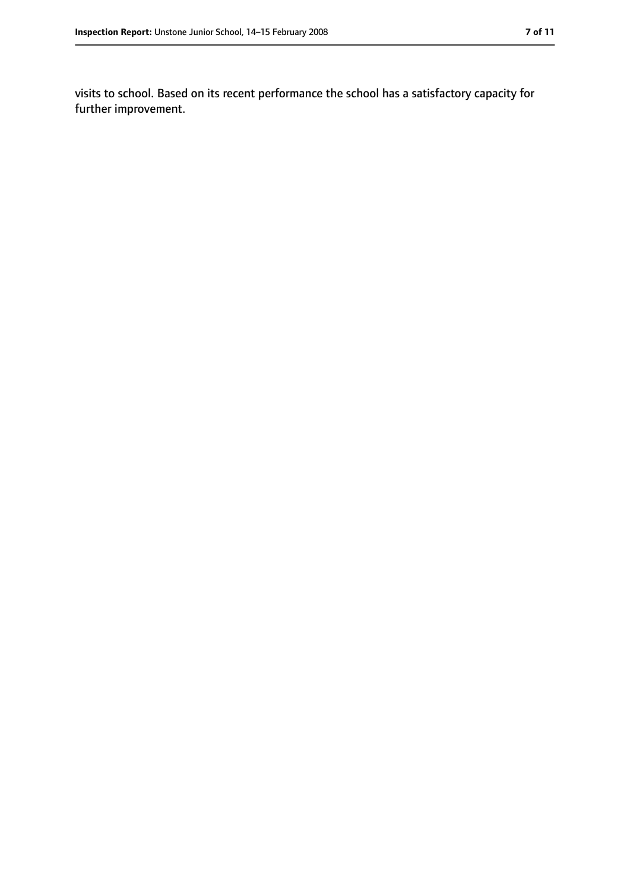visits to school. Based on its recent performance the school has a satisfactory capacity for further improvement.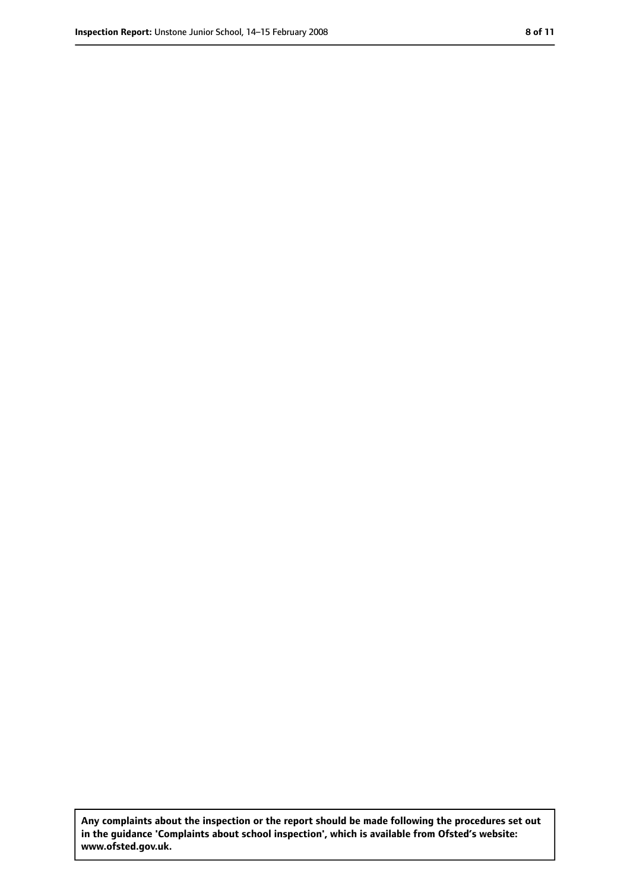**Any complaints about the inspection or the report should be made following the procedures set out in the guidance 'Complaints about school inspection', which is available from Ofsted's website: www.ofsted.gov.uk.**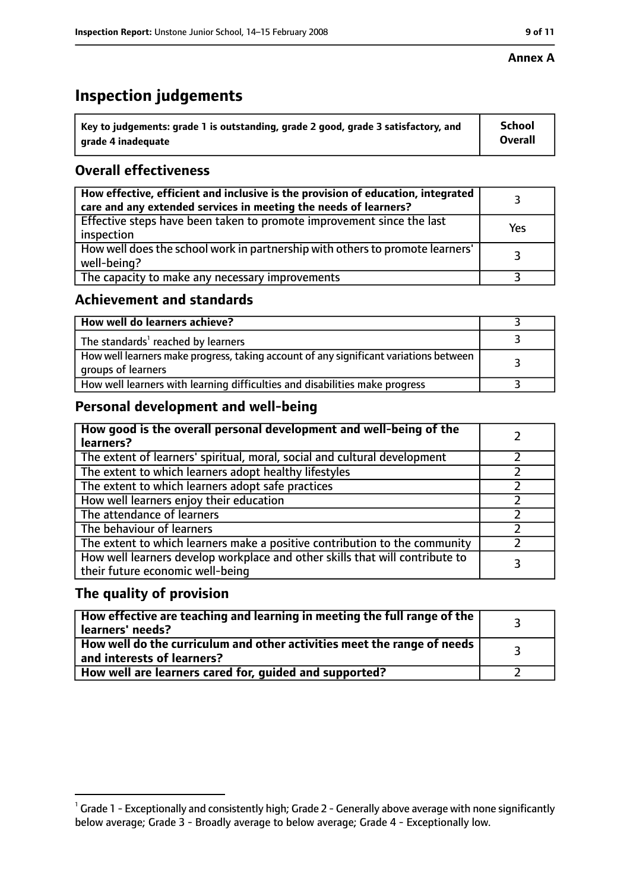#### **Annex A**

# **Inspection judgements**

| $^{\circ}$ Key to judgements: grade 1 is outstanding, grade 2 good, grade 3 satisfactory, and | <b>School</b>  |
|-----------------------------------------------------------------------------------------------|----------------|
| arade 4 inadeguate                                                                            | <b>Overall</b> |

## **Overall effectiveness**

| How effective, efficient and inclusive is the provision of education, integrated<br>care and any extended services in meeting the needs of learners? |     |
|------------------------------------------------------------------------------------------------------------------------------------------------------|-----|
| Effective steps have been taken to promote improvement since the last<br>inspection                                                                  | Yes |
| How well does the school work in partnership with others to promote learners'<br>well-being?                                                         |     |
| The capacity to make any necessary improvements                                                                                                      |     |

## **Achievement and standards**

| How well do learners achieve?                                                                               |  |
|-------------------------------------------------------------------------------------------------------------|--|
| The standards <sup>1</sup> reached by learners                                                              |  |
| How well learners make progress, taking account of any significant variations between<br>groups of learners |  |
| How well learners with learning difficulties and disabilities make progress                                 |  |

## **Personal development and well-being**

| How good is the overall personal development and well-being of the<br>learners?                                  |  |
|------------------------------------------------------------------------------------------------------------------|--|
| The extent of learners' spiritual, moral, social and cultural development                                        |  |
| The extent to which learners adopt healthy lifestyles                                                            |  |
| The extent to which learners adopt safe practices                                                                |  |
| How well learners enjoy their education                                                                          |  |
| The attendance of learners                                                                                       |  |
| The behaviour of learners                                                                                        |  |
| The extent to which learners make a positive contribution to the community                                       |  |
| How well learners develop workplace and other skills that will contribute to<br>their future economic well-being |  |

#### **The quality of provision**

| $\mid$ How effective are teaching and learning in meeting the full range of the $\mid$<br>learners' needs? |  |
|------------------------------------------------------------------------------------------------------------|--|
| How well do the curriculum and other activities meet the range of needs  <br>and interests of learners?    |  |
| How well are learners cared for, guided and supported?                                                     |  |

 $^1$  Grade 1 - Exceptionally and consistently high; Grade 2 - Generally above average with none significantly below average; Grade 3 - Broadly average to below average; Grade 4 - Exceptionally low.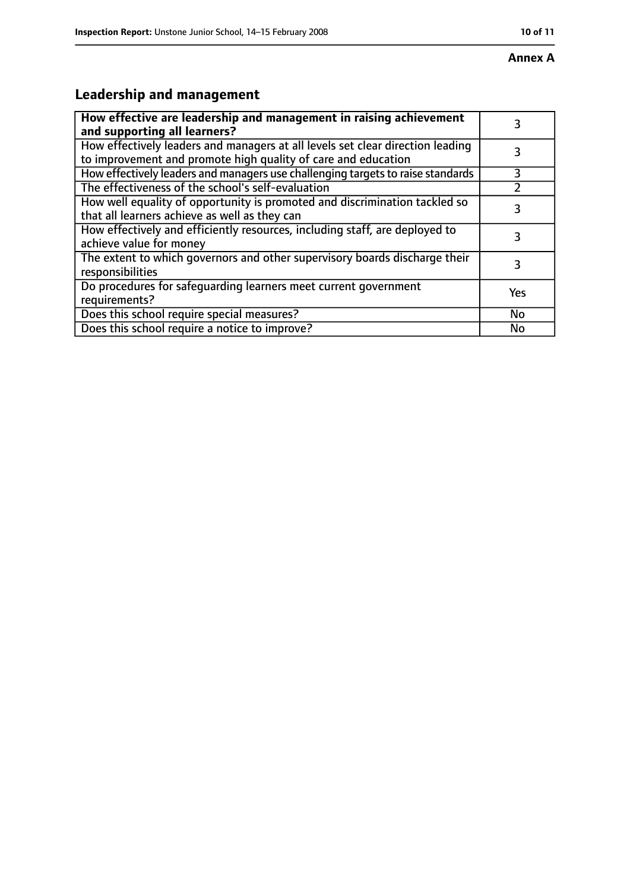# **Leadership and management**

| How effective are leadership and management in raising achievement<br>and supporting all learners?                                              | 3         |
|-------------------------------------------------------------------------------------------------------------------------------------------------|-----------|
| How effectively leaders and managers at all levels set clear direction leading<br>to improvement and promote high quality of care and education |           |
| How effectively leaders and managers use challenging targets to raise standards                                                                 | 3         |
| The effectiveness of the school's self-evaluation                                                                                               |           |
| How well equality of opportunity is promoted and discrimination tackled so<br>that all learners achieve as well as they can                     | 3         |
| How effectively and efficiently resources, including staff, are deployed to<br>achieve value for money                                          | 3         |
| The extent to which governors and other supervisory boards discharge their<br>responsibilities                                                  | 3         |
| Do procedures for safequarding learners meet current government<br>requirements?                                                                | Yes       |
| Does this school require special measures?                                                                                                      | <b>No</b> |
| Does this school require a notice to improve?                                                                                                   | No        |